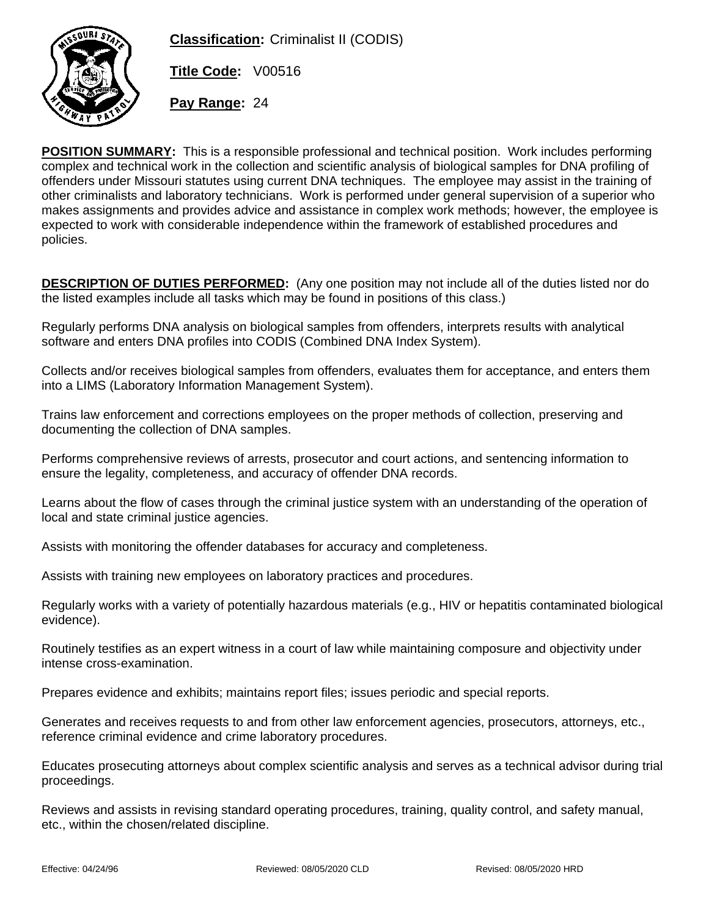

**Classification:** Criminalist II (CODIS)

**Title Code:** V00516

**Pay Range:** 24

**POSITION SUMMARY:** This is a responsible professional and technical position. Work includes performing complex and technical work in the collection and scientific analysis of biological samples for DNA profiling of offenders under Missouri statutes using current DNA techniques. The employee may assist in the training of other criminalists and laboratory technicians. Work is performed under general supervision of a superior who makes assignments and provides advice and assistance in complex work methods; however, the employee is expected to work with considerable independence within the framework of established procedures and policies.

**DESCRIPTION OF DUTIES PERFORMED:** (Any one position may not include all of the duties listed nor do the listed examples include all tasks which may be found in positions of this class.)

Regularly performs DNA analysis on biological samples from offenders, interprets results with analytical software and enters DNA profiles into CODIS (Combined DNA Index System).

Collects and/or receives biological samples from offenders, evaluates them for acceptance, and enters them into a LIMS (Laboratory Information Management System).

Trains law enforcement and corrections employees on the proper methods of collection, preserving and documenting the collection of DNA samples.

Performs comprehensive reviews of arrests, prosecutor and court actions, and sentencing information to ensure the legality, completeness, and accuracy of offender DNA records.

Learns about the flow of cases through the criminal justice system with an understanding of the operation of local and state criminal justice agencies.

Assists with monitoring the offender databases for accuracy and completeness.

Assists with training new employees on laboratory practices and procedures.

Regularly works with a variety of potentially hazardous materials (e.g., HIV or hepatitis contaminated biological evidence).

Routinely testifies as an expert witness in a court of law while maintaining composure and objectivity under intense cross-examination.

Prepares evidence and exhibits; maintains report files; issues periodic and special reports.

Generates and receives requests to and from other law enforcement agencies, prosecutors, attorneys, etc., reference criminal evidence and crime laboratory procedures.

Educates prosecuting attorneys about complex scientific analysis and serves as a technical advisor during trial proceedings.

Reviews and assists in revising standard operating procedures, training, quality control, and safety manual, etc., within the chosen/related discipline.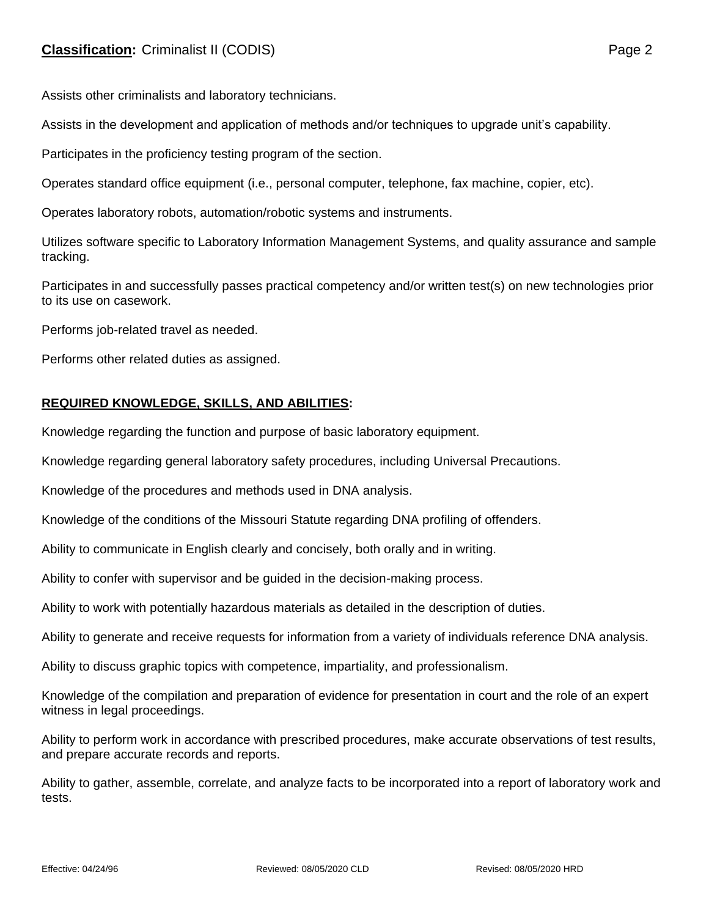Assists other criminalists and laboratory technicians.

Assists in the development and application of methods and/or techniques to upgrade unit's capability.

Participates in the proficiency testing program of the section.

Operates standard office equipment (i.e., personal computer, telephone, fax machine, copier, etc).

Operates laboratory robots, automation/robotic systems and instruments.

Utilizes software specific to Laboratory Information Management Systems, and quality assurance and sample tracking.

Participates in and successfully passes practical competency and/or written test(s) on new technologies prior to its use on casework.

Performs job-related travel as needed.

Performs other related duties as assigned.

## **REQUIRED KNOWLEDGE, SKILLS, AND ABILITIES:**

Knowledge regarding the function and purpose of basic laboratory equipment.

Knowledge regarding general laboratory safety procedures, including Universal Precautions.

Knowledge of the procedures and methods used in DNA analysis.

Knowledge of the conditions of the Missouri Statute regarding DNA profiling of offenders.

Ability to communicate in English clearly and concisely, both orally and in writing.

Ability to confer with supervisor and be guided in the decision-making process.

Ability to work with potentially hazardous materials as detailed in the description of duties.

Ability to generate and receive requests for information from a variety of individuals reference DNA analysis.

Ability to discuss graphic topics with competence, impartiality, and professionalism.

Knowledge of the compilation and preparation of evidence for presentation in court and the role of an expert witness in legal proceedings.

Ability to perform work in accordance with prescribed procedures, make accurate observations of test results, and prepare accurate records and reports.

Ability to gather, assemble, correlate, and analyze facts to be incorporated into a report of laboratory work and tests.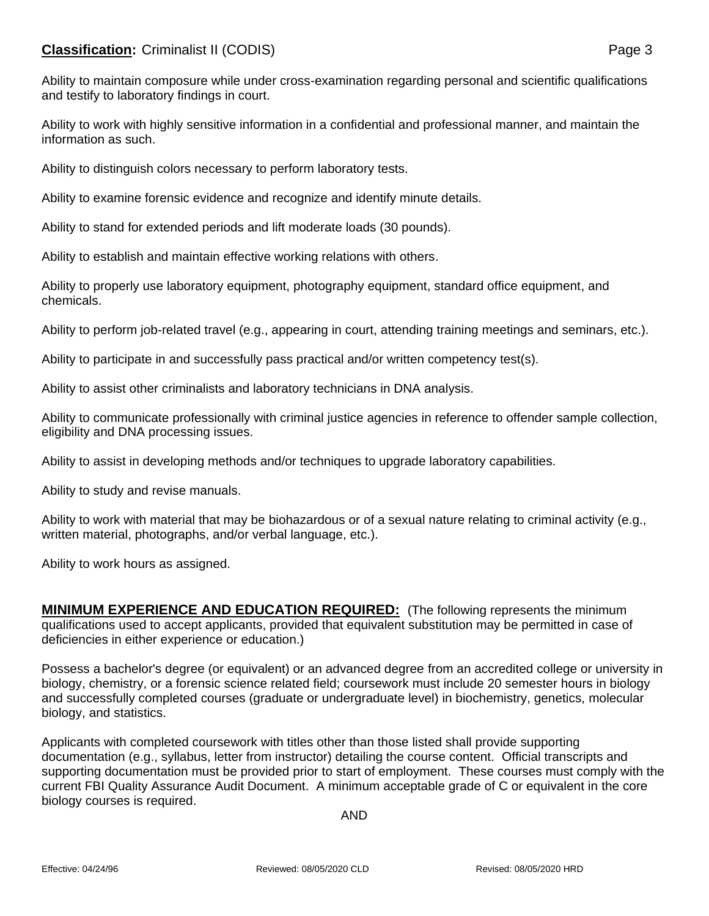## **Classification:** Criminalist II (CODIS) **Page 3**

Ability to maintain composure while under cross-examination regarding personal and scientific qualifications and testify to laboratory findings in court.

Ability to work with highly sensitive information in a confidential and professional manner, and maintain the information as such.

Ability to distinguish colors necessary to perform laboratory tests.

Ability to examine forensic evidence and recognize and identify minute details.

Ability to stand for extended periods and lift moderate loads (30 pounds).

Ability to establish and maintain effective working relations with others.

Ability to properly use laboratory equipment, photography equipment, standard office equipment, and chemicals.

Ability to perform job-related travel (e.g., appearing in court, attending training meetings and seminars, etc.).

Ability to participate in and successfully pass practical and/or written competency test(s).

Ability to assist other criminalists and laboratory technicians in DNA analysis.

Ability to communicate professionally with criminal justice agencies in reference to offender sample collection, eligibility and DNA processing issues.

Ability to assist in developing methods and/or techniques to upgrade laboratory capabilities.

Ability to study and revise manuals.

Ability to work with material that may be biohazardous or of a sexual nature relating to criminal activity (e.g., written material, photographs, and/or verbal language, etc.).

Ability to work hours as assigned.

**MINIMUM EXPERIENCE AND EDUCATION REQUIRED:** (The following represents the minimum qualifications used to accept applicants, provided that equivalent substitution may be permitted in case of deficiencies in either experience or education.)

Possess a bachelor's degree (or equivalent) or an advanced degree from an accredited college or university in biology, chemistry, or a forensic science related field; coursework must include 20 semester hours in biology and successfully completed courses (graduate or undergraduate level) in biochemistry, genetics, molecular biology, and statistics.

Applicants with completed coursework with titles other than those listed shall provide supporting documentation (e.g., syllabus, letter from instructor) detailing the course content. Official transcripts and supporting documentation must be provided prior to start of employment. These courses must comply with the current FBI Quality Assurance Audit Document. A minimum acceptable grade of C or equivalent in the core biology courses is required.

AND